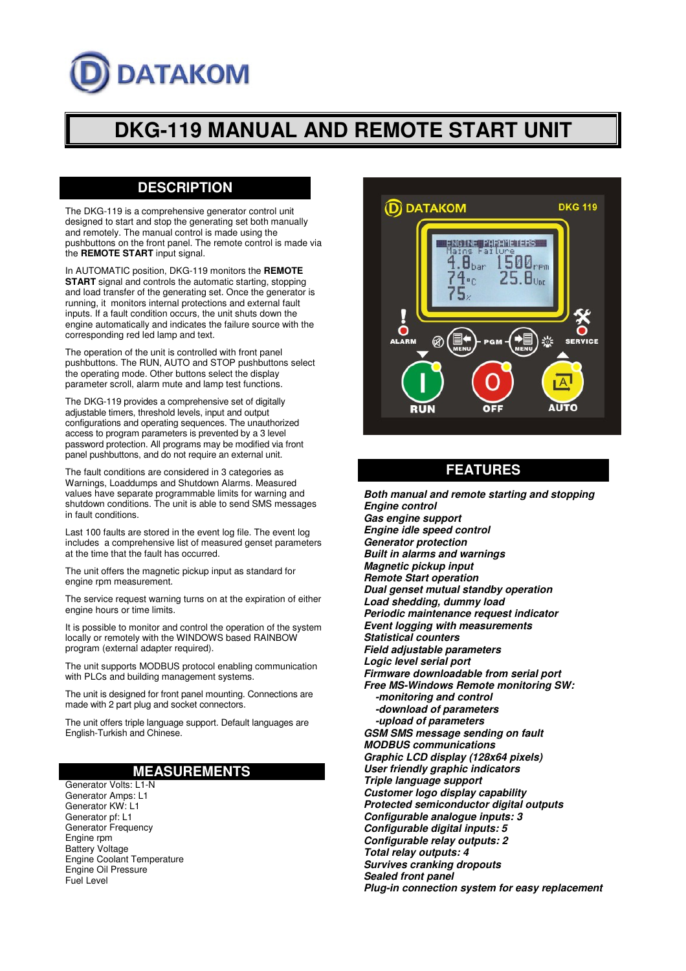# **ATAKOM**

# **DKG-119 MANUAL AND REMOTE START UNIT**

# **DESCRIPTION**

The DKG-119 is a comprehensive generator control unit designed to start and stop the generating set both manually and remotely. The manual control is made using the pushbuttons on the front panel. The remote control is made via the **REMOTE START** input signal.

In AUTOMATIC position, DKG-119 monitors the **REMOTE START** signal and controls the automatic starting, stopping and load transfer of the generating set. Once the generator is running, it monitors internal protections and external fault inputs. If a fault condition occurs, the unit shuts down the engine automatically and indicates the failure source with the corresponding red led lamp and text.

The operation of the unit is controlled with front panel pushbuttons. The RUN, AUTO and STOP pushbuttons select the operating mode. Other buttons select the display parameter scroll, alarm mute and lamp test functions.

The DKG-119 provides a comprehensive set of digitally adjustable timers, threshold levels, input and output configurations and operating sequences. The unauthorized access to program parameters is prevented by a 3 level password protection. All programs may be modified via front panel pushbuttons, and do not require an external unit.

The fault conditions are considered in 3 categories as Warnings, Loaddumps and Shutdown Alarms. Measured values have separate programmable limits for warning and shutdown conditions. The unit is able to send SMS messages in fault conditions.

Last 100 faults are stored in the event log file. The event log includes a comprehensive list of measured genset parameters at the time that the fault has occurred.

The unit offers the magnetic pickup input as standard for engine rpm measurement.

The service request warning turns on at the expiration of either engine hours or time limits.

It is possible to monitor and control the operation of the system locally or remotely with the WINDOWS based RAINBOW program (external adapter required).

The unit supports MODBUS protocol enabling communication with PLCs and building management systems.

The unit is designed for front panel mounting. Connections are made with 2 part plug and socket connectors.

The unit offers triple language support. Default languages are English-Turkish and Chinese.

### **MEASUREMENTS**

Generator Volts: L1-N Generator Amps: L1 Generator KW: L1 Generator pf: L1 Generator Frequency Engine rpm Battery Voltage Engine Coolant Temperature Engine Oil Pressure Fuel Level



## **FEATURES**

**Both manual and remote starting and stopping Engine control Gas engine support Engine idle speed control Generator protection Built in alarms and warnings Magnetic pickup input Remote Start operation Dual genset mutual standby operation Load shedding, dummy load Periodic maintenance request indicator Event logging with measurements Statistical counters Field adjustable parameters Logic level serial port Firmware downloadable from serial port Free MS-Windows Remote monitoring SW: -monitoring and control -download of parameters -upload of parameters GSM SMS message sending on fault MODBUS communications Graphic LCD display (128x64 pixels) User friendly graphic indicators Triple language support Customer logo display capability Protected semiconductor digital outputs Configurable analogue inputs: 3 Configurable digital inputs: 5 Configurable relay outputs: 2 Total relay outputs: 4 Survives cranking dropouts Sealed front panel Plug-in connection system for easy replacement**